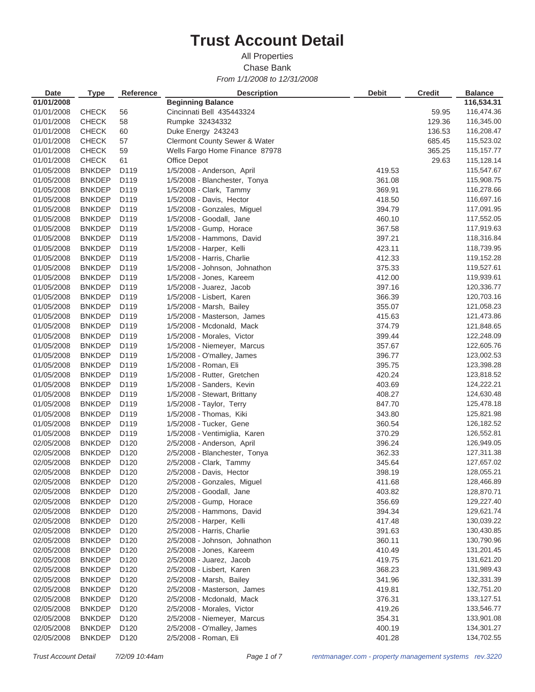## **Trust Account Detail**

*From 1/1/2008 to 12/31/2008* Chase Bank All Properties

| <b>Date</b> | <b>Type</b>   | <b>Reference</b> | <b>Description</b>                       | <b>Debit</b> | <b>Credit</b> | <b>Balance</b> |
|-------------|---------------|------------------|------------------------------------------|--------------|---------------|----------------|
| 01/01/2008  |               |                  | <b>Beginning Balance</b>                 |              |               | 116,534.31     |
| 01/01/2008  | <b>CHECK</b>  | 56               | Cincinnati Bell 435443324                |              | 59.95         | 116,474.36     |
| 01/01/2008  | <b>CHECK</b>  | 58               | Rumpke 32434332                          |              | 129.36        | 116,345.00     |
| 01/01/2008  | <b>CHECK</b>  | 60               | Duke Energy 243243                       |              | 136.53        | 116,208.47     |
| 01/01/2008  | <b>CHECK</b>  | 57               | <b>Clermont County Sewer &amp; Water</b> |              | 685.45        | 115,523.02     |
| 01/01/2008  | <b>CHECK</b>  | 59               | Wells Fargo Home Finance 87978           |              | 365.25        | 115,157.77     |
| 01/01/2008  | <b>CHECK</b>  | 61               | Office Depot                             |              | 29.63         | 115,128.14     |
| 01/05/2008  | <b>BNKDEP</b> | D119             | 1/5/2008 - Anderson, April               | 419.53       |               | 115,547.67     |
| 01/05/2008  | <b>BNKDEP</b> | D119             | 1/5/2008 - Blanchester, Tonya            | 361.08       |               | 115,908.75     |
| 01/05/2008  | <b>BNKDEP</b> | D <sub>119</sub> | 1/5/2008 - Clark, Tammy                  | 369.91       |               | 116,278.66     |
| 01/05/2008  | <b>BNKDEP</b> | D119             | 1/5/2008 - Davis, Hector                 | 418.50       |               | 116,697.16     |
| 01/05/2008  | <b>BNKDEP</b> | D119             | 1/5/2008 - Gonzales, Miguel              | 394.79       |               | 117,091.95     |
| 01/05/2008  | <b>BNKDEP</b> | D119             | 1/5/2008 - Goodall, Jane                 | 460.10       |               | 117,552.05     |
| 01/05/2008  | <b>BNKDEP</b> | D119             | 1/5/2008 - Gump, Horace                  | 367.58       |               | 117,919.63     |
| 01/05/2008  | <b>BNKDEP</b> | D119             | 1/5/2008 - Hammons, David                | 397.21       |               | 118,316.84     |
| 01/05/2008  | <b>BNKDEP</b> | D119             | 1/5/2008 - Harper, Kelli                 | 423.11       |               | 118,739.95     |
| 01/05/2008  | <b>BNKDEP</b> | D119             | 1/5/2008 - Harris, Charlie               | 412.33       |               | 119,152.28     |
| 01/05/2008  | <b>BNKDEP</b> | D119             | 1/5/2008 - Johnson, Johnathon            | 375.33       |               | 119,527.61     |
| 01/05/2008  | <b>BNKDEP</b> | D119             | 1/5/2008 - Jones, Kareem                 | 412.00       |               | 119,939.61     |
| 01/05/2008  | <b>BNKDEP</b> | D119             | $1/5/2008$ - Juarez, Jacob               | 397.16       |               | 120,336.77     |
| 01/05/2008  | <b>BNKDEP</b> | D <sub>119</sub> | 1/5/2008 - Lisbert, Karen                | 366.39       |               | 120,703.16     |
| 01/05/2008  | <b>BNKDEP</b> | D119             | 1/5/2008 - Marsh, Bailey                 | 355.07       |               | 121,058.23     |
| 01/05/2008  | <b>BNKDEP</b> | D119             | 1/5/2008 - Masterson, James              | 415.63       |               | 121,473.86     |
| 01/05/2008  | <b>BNKDEP</b> | D <sub>119</sub> | 1/5/2008 - Mcdonald, Mack                | 374.79       |               | 121,848.65     |
| 01/05/2008  | <b>BNKDEP</b> | D119             | 1/5/2008 - Morales, Victor               | 399.44       |               | 122,248.09     |
| 01/05/2008  | <b>BNKDEP</b> | D119             | 1/5/2008 - Niemeyer, Marcus              | 357.67       |               | 122,605.76     |
| 01/05/2008  | <b>BNKDEP</b> | D119             | 1/5/2008 - O'malley, James               | 396.77       |               | 123,002.53     |
| 01/05/2008  | <b>BNKDEP</b> | D119             | 1/5/2008 - Roman, Eli                    | 395.75       |               | 123,398.28     |
| 01/05/2008  | <b>BNKDEP</b> | D <sub>119</sub> | 1/5/2008 - Rutter, Gretchen              | 420.24       |               | 123,818.52     |
| 01/05/2008  | <b>BNKDEP</b> | D119             | 1/5/2008 - Sanders, Kevin                | 403.69       |               | 124,222.21     |
| 01/05/2008  | <b>BNKDEP</b> | D119             | 1/5/2008 - Stewart, Brittany             | 408.27       |               | 124,630.48     |
| 01/05/2008  | <b>BNKDEP</b> | D119             | 1/5/2008 - Taylor, Terry                 | 847.70       |               | 125,478.18     |
| 01/05/2008  | <b>BNKDEP</b> | D119             | 1/5/2008 - Thomas, Kiki                  | 343.80       |               | 125,821.98     |
| 01/05/2008  | <b>BNKDEP</b> | D119             | 1/5/2008 - Tucker, Gene                  | 360.54       |               | 126,182.52     |
| 01/05/2008  | <b>BNKDEP</b> | D119             | 1/5/2008 - Ventimiglia, Karen            | 370.29       |               | 126,552.81     |
| 02/05/2008  | <b>BNKDEP</b> | D <sub>120</sub> | 2/5/2008 - Anderson, April               | 396.24       |               | 126,949.05     |
| 02/05/2008  | <b>BNKDEP</b> | D <sub>120</sub> | 2/5/2008 - Blanchester, Tonya            | 362.33       |               | 127,311.38     |
| 02/05/2008  | <b>BNKDEP</b> | D <sub>120</sub> | 2/5/2008 - Clark, Tammy                  | 345.64       |               | 127,657.02     |
| 02/05/2008  | <b>BNKDEP</b> | D <sub>120</sub> | 2/5/2008 - Davis, Hector                 | 398.19       |               | 128,055.21     |
| 02/05/2008  | <b>BNKDEP</b> | D <sub>120</sub> | 2/5/2008 - Gonzales, Miguel              | 411.68       |               | 128,466.89     |
| 02/05/2008  | <b>BNKDEP</b> | D <sub>120</sub> | 2/5/2008 - Goodall, Jane                 | 403.82       |               | 128,870.71     |
| 02/05/2008  | <b>BNKDEP</b> | D <sub>120</sub> | 2/5/2008 - Gump, Horace                  | 356.69       |               | 129,227.40     |
| 02/05/2008  | <b>BNKDEP</b> | D <sub>120</sub> | 2/5/2008 - Hammons, David                | 394.34       |               | 129,621.74     |
| 02/05/2008  | <b>BNKDEP</b> | D <sub>120</sub> | 2/5/2008 - Harper, Kelli                 | 417.48       |               | 130,039.22     |
| 02/05/2008  | <b>BNKDEP</b> | D <sub>120</sub> | 2/5/2008 - Harris, Charlie               | 391.63       |               | 130,430.85     |
| 02/05/2008  | <b>BNKDEP</b> | D <sub>120</sub> | 2/5/2008 - Johnson, Johnathon            | 360.11       |               | 130,790.96     |
| 02/05/2008  | <b>BNKDEP</b> | D <sub>120</sub> | 2/5/2008 - Jones, Kareem                 | 410.49       |               | 131,201.45     |
| 02/05/2008  | <b>BNKDEP</b> | D <sub>120</sub> | 2/5/2008 - Juarez, Jacob                 | 419.75       |               | 131,621.20     |
| 02/05/2008  | <b>BNKDEP</b> | D <sub>120</sub> | 2/5/2008 - Lisbert, Karen                | 368.23       |               | 131,989.43     |
| 02/05/2008  | <b>BNKDEP</b> | D <sub>120</sub> | 2/5/2008 - Marsh, Bailey                 | 341.96       |               | 132,331.39     |
| 02/05/2008  | <b>BNKDEP</b> | D <sub>120</sub> | 2/5/2008 - Masterson, James              | 419.81       |               | 132,751.20     |
| 02/05/2008  | <b>BNKDEP</b> | D <sub>120</sub> | 2/5/2008 - Mcdonald, Mack                | 376.31       |               | 133,127.51     |
| 02/05/2008  | <b>BNKDEP</b> | D <sub>120</sub> | 2/5/2008 - Morales, Victor               | 419.26       |               | 133,546.77     |
| 02/05/2008  | <b>BNKDEP</b> | D <sub>120</sub> | 2/5/2008 - Niemeyer, Marcus              | 354.31       |               | 133,901.08     |
| 02/05/2008  | <b>BNKDEP</b> | D <sub>120</sub> | 2/5/2008 - O'malley, James               | 400.19       |               | 134,301.27     |
| 02/05/2008  | <b>BNKDEP</b> | D <sub>120</sub> | 2/5/2008 - Roman, Eli                    | 401.28       |               | 134,702.55     |
|             |               |                  |                                          |              |               |                |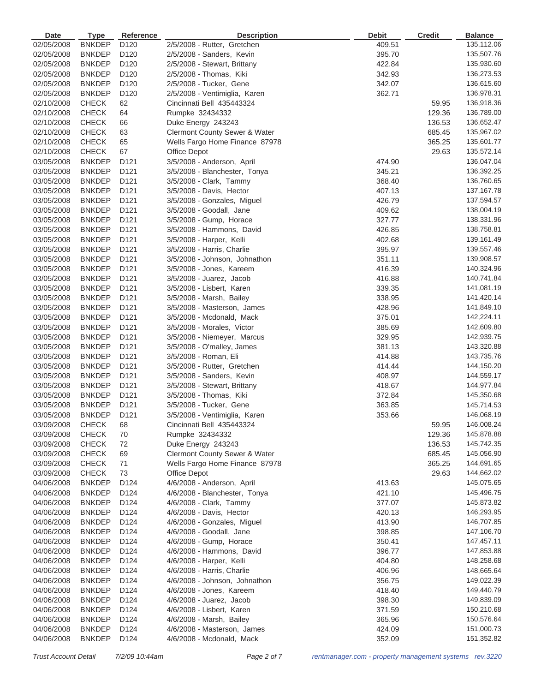| <b>Date</b> | <b>Type</b>   | Reference        | <b>Description</b>             | <b>Debit</b> | <b>Credit</b> | <b>Balance</b> |
|-------------|---------------|------------------|--------------------------------|--------------|---------------|----------------|
| 02/05/2008  | <b>BNKDEP</b> | D <sub>120</sub> | 2/5/2008 - Rutter, Gretchen    | 409.51       |               | 135,112.06     |
| 02/05/2008  | <b>BNKDEP</b> | D <sub>120</sub> | 2/5/2008 - Sanders, Kevin      | 395.70       |               | 135,507.76     |
| 02/05/2008  | <b>BNKDEP</b> | D <sub>120</sub> | 2/5/2008 - Stewart, Brittany   | 422.84       |               | 135,930.60     |
| 02/05/2008  | <b>BNKDEP</b> | D <sub>120</sub> | 2/5/2008 - Thomas, Kiki        | 342.93       |               | 136,273.53     |
| 02/05/2008  | <b>BNKDEP</b> | D <sub>120</sub> | 2/5/2008 - Tucker, Gene        | 342.07       |               | 136,615.60     |
| 02/05/2008  | <b>BNKDEP</b> | D <sub>120</sub> | 2/5/2008 - Ventimiglia, Karen  | 362.71       |               | 136,978.31     |
| 02/10/2008  | <b>CHECK</b>  | 62               | Cincinnati Bell 435443324      |              | 59.95         | 136,918.36     |
| 02/10/2008  | <b>CHECK</b>  | 64               | Rumpke 32434332                |              | 129.36        | 136,789.00     |
| 02/10/2008  | <b>CHECK</b>  | 66               | Duke Energy 243243             |              | 136.53        | 136,652.47     |
| 02/10/2008  | <b>CHECK</b>  | 63               | Clermont County Sewer & Water  |              | 685.45        | 135,967.02     |
| 02/10/2008  | <b>CHECK</b>  | 65               | Wells Fargo Home Finance 87978 |              | 365.25        | 135,601.77     |
| 02/10/2008  | <b>CHECK</b>  | 67               | Office Depot                   |              | 29.63         | 135,572.14     |
| 03/05/2008  | <b>BNKDEP</b> | D <sub>121</sub> | 3/5/2008 - Anderson, April     | 474.90       |               | 136,047.04     |
| 03/05/2008  | <b>BNKDEP</b> | D <sub>121</sub> | 3/5/2008 - Blanchester, Tonya  | 345.21       |               | 136,392.25     |
| 03/05/2008  | <b>BNKDEP</b> | D <sub>121</sub> | 3/5/2008 - Clark, Tammy        | 368.40       |               | 136,760.65     |
| 03/05/2008  | <b>BNKDEP</b> | D <sub>121</sub> | 3/5/2008 - Davis, Hector       | 407.13       |               | 137, 167. 78   |
| 03/05/2008  | <b>BNKDEP</b> | D <sub>121</sub> | 3/5/2008 - Gonzales, Miguel    | 426.79       |               | 137,594.57     |
| 03/05/2008  | <b>BNKDEP</b> | D <sub>121</sub> | 3/5/2008 - Goodall, Jane       | 409.62       |               | 138,004.19     |
| 03/05/2008  | <b>BNKDEP</b> | D <sub>121</sub> | 3/5/2008 - Gump, Horace        | 327.77       |               | 138,331.96     |
| 03/05/2008  | <b>BNKDEP</b> | D <sub>121</sub> | 3/5/2008 - Hammons, David      | 426.85       |               | 138,758.81     |
| 03/05/2008  | <b>BNKDEP</b> | D <sub>121</sub> | 3/5/2008 - Harper, Kelli       | 402.68       |               | 139,161.49     |
| 03/05/2008  | <b>BNKDEP</b> | D <sub>121</sub> | 3/5/2008 - Harris, Charlie     | 395.97       |               | 139,557.46     |
| 03/05/2008  | <b>BNKDEP</b> | D <sub>121</sub> | 3/5/2008 - Johnson, Johnathon  | 351.11       |               | 139,908.57     |
| 03/05/2008  | <b>BNKDEP</b> | D <sub>121</sub> | 3/5/2008 - Jones, Kareem       | 416.39       |               | 140,324.96     |
| 03/05/2008  | <b>BNKDEP</b> | D <sub>121</sub> | 3/5/2008 - Juarez, Jacob       | 416.88       |               | 140,741.84     |
| 03/05/2008  | <b>BNKDEP</b> | D <sub>121</sub> | 3/5/2008 - Lisbert, Karen      | 339.35       |               | 141,081.19     |
| 03/05/2008  | <b>BNKDEP</b> | D <sub>121</sub> | 3/5/2008 - Marsh, Bailey       | 338.95       |               | 141,420.14     |
| 03/05/2008  | <b>BNKDEP</b> | D <sub>121</sub> | 3/5/2008 - Masterson, James    | 428.96       |               | 141,849.10     |
| 03/05/2008  | <b>BNKDEP</b> | D <sub>121</sub> | 3/5/2008 - Mcdonald, Mack      | 375.01       |               | 142,224.11     |
| 03/05/2008  | <b>BNKDEP</b> | D <sub>121</sub> | 3/5/2008 - Morales, Victor     | 385.69       |               | 142,609.80     |
| 03/05/2008  | <b>BNKDEP</b> | D <sub>121</sub> | 3/5/2008 - Niemeyer, Marcus    | 329.95       |               | 142,939.75     |
| 03/05/2008  | <b>BNKDEP</b> | D <sub>121</sub> | 3/5/2008 - O'malley, James     | 381.13       |               | 143,320.88     |
| 03/05/2008  | <b>BNKDEP</b> | D <sub>121</sub> | 3/5/2008 - Roman, Eli          | 414.88       |               | 143,735.76     |
| 03/05/2008  | <b>BNKDEP</b> | D <sub>121</sub> | 3/5/2008 - Rutter, Gretchen    | 414.44       |               | 144,150.20     |
| 03/05/2008  | <b>BNKDEP</b> | D <sub>121</sub> | 3/5/2008 - Sanders, Kevin      | 408.97       |               | 144,559.17     |
| 03/05/2008  | <b>BNKDEP</b> | D <sub>121</sub> | 3/5/2008 - Stewart, Brittany   | 418.67       |               | 144,977.84     |
| 03/05/2008  | <b>BNKDEP</b> | D <sub>121</sub> | 3/5/2008 - Thomas, Kiki        | 372.84       |               | 145,350.68     |
| 03/05/2008  | <b>BNKDEP</b> | D <sub>121</sub> | 3/5/2008 - Tucker, Gene        | 363.85       |               | 145,714.53     |
| 03/05/2008  | <b>BNKDEP</b> | D <sub>121</sub> | 3/5/2008 - Ventimiglia, Karen  | 353.66       |               | 146,068.19     |
| 03/09/2008  | <b>CHECK</b>  | 68               | Cincinnati Bell 435443324      |              | 59.95         | 146,008.24     |
| 03/09/2008  | <b>CHECK</b>  | 70               | Rumpke 32434332                |              | 129.36        | 145,878.88     |
| 03/09/2008  | <b>CHECK</b>  | 72               | Duke Energy 243243             |              | 136.53        | 145,742.35     |
| 03/09/2008  | <b>CHECK</b>  | 69               | Clermont County Sewer & Water  |              | 685.45        | 145,056.90     |
| 03/09/2008  | <b>CHECK</b>  | 71               | Wells Fargo Home Finance 87978 |              | 365.25        | 144,691.65     |
| 03/09/2008  | <b>CHECK</b>  | 73               | <b>Office Depot</b>            |              | 29.63         | 144,662.02     |
| 04/06/2008  | <b>BNKDEP</b> | D124             | 4/6/2008 - Anderson, April     | 413.63       |               | 145,075.65     |
| 04/06/2008  | <b>BNKDEP</b> | D124             | 4/6/2008 - Blanchester, Tonya  | 421.10       |               | 145,496.75     |
| 04/06/2008  | <b>BNKDEP</b> | D124             | 4/6/2008 - Clark, Tammy        | 377.07       |               | 145,873.82     |
| 04/06/2008  | <b>BNKDEP</b> | D124             | 4/6/2008 - Davis, Hector       | 420.13       |               | 146,293.95     |
| 04/06/2008  | <b>BNKDEP</b> | D <sub>124</sub> | 4/6/2008 - Gonzales, Miguel    | 413.90       |               | 146,707.85     |
| 04/06/2008  | <b>BNKDEP</b> | D <sub>124</sub> | 4/6/2008 - Goodall, Jane       | 398.85       |               | 147,106.70     |
| 04/06/2008  | <b>BNKDEP</b> | D124             | 4/6/2008 - Gump, Horace        | 350.41       |               | 147,457.11     |
| 04/06/2008  | <b>BNKDEP</b> | D124             | 4/6/2008 - Hammons, David      | 396.77       |               | 147,853.88     |
| 04/06/2008  | <b>BNKDEP</b> | D <sub>124</sub> | 4/6/2008 - Harper, Kelli       | 404.80       |               | 148,258.68     |
| 04/06/2008  | <b>BNKDEP</b> | D <sub>124</sub> | 4/6/2008 - Harris, Charlie     | 406.96       |               | 148,665.64     |
| 04/06/2008  | <b>BNKDEP</b> | D124             | 4/6/2008 - Johnson, Johnathon  | 356.75       |               | 149,022.39     |
| 04/06/2008  | <b>BNKDEP</b> | D <sub>124</sub> | 4/6/2008 - Jones, Kareem       | 418.40       |               | 149,440.79     |
| 04/06/2008  | <b>BNKDEP</b> | D <sub>124</sub> |                                |              |               | 149,839.09     |
|             |               |                  | 4/6/2008 - Juarez, Jacob       | 398.30       |               |                |
| 04/06/2008  | <b>BNKDEP</b> | D <sub>124</sub> | 4/6/2008 - Lisbert, Karen      | 371.59       |               | 150,210.68     |
| 04/06/2008  | <b>BNKDEP</b> | D <sub>124</sub> | 4/6/2008 - Marsh, Bailey       | 365.96       |               | 150,576.64     |
| 04/06/2008  | <b>BNKDEP</b> | D <sub>124</sub> | 4/6/2008 - Masterson, James    | 424.09       |               | 151,000.73     |
| 04/06/2008  | <b>BNKDEP</b> | D <sub>124</sub> | 4/6/2008 - Mcdonald, Mack      | 352.09       |               | 151,352.82     |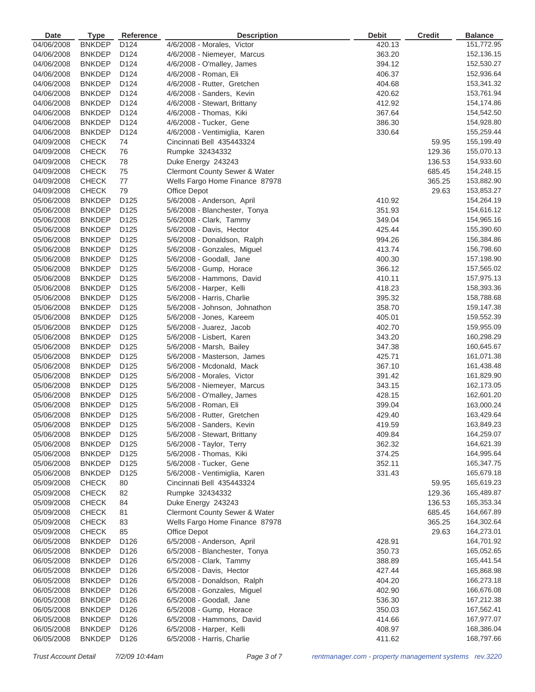| Date       | <b>Type</b>                    | Reference        | <b>Description</b>             | <b>Debit</b> | <b>Credit</b> | <b>Balance</b>           |
|------------|--------------------------------|------------------|--------------------------------|--------------|---------------|--------------------------|
| 04/06/2008 | <b>BNKDEP</b>                  | D <sub>124</sub> | 4/6/2008 - Morales, Victor     | 420.13       |               | 151,772.95               |
| 04/06/2008 | <b>BNKDEP</b>                  | D124             | 4/6/2008 - Niemeyer, Marcus    | 363.20       |               | 152,136.15               |
| 04/06/2008 | <b>BNKDEP</b>                  | D124             | 4/6/2008 - O'malley, James     | 394.12       |               | 152,530.27               |
| 04/06/2008 | <b>BNKDEP</b>                  | D124             | 4/6/2008 - Roman, Eli          | 406.37       |               | 152,936.64               |
| 04/06/2008 | <b>BNKDEP</b>                  | D124             | 4/6/2008 - Rutter, Gretchen    | 404.68       |               | 153,341.32               |
| 04/06/2008 | <b>BNKDEP</b>                  | D124             | 4/6/2008 - Sanders, Kevin      | 420.62       |               | 153,761.94               |
| 04/06/2008 | <b>BNKDEP</b>                  | D124             | 4/6/2008 - Stewart, Brittany   | 412.92       |               | 154,174.86               |
| 04/06/2008 | <b>BNKDEP</b>                  | D124             | 4/6/2008 - Thomas, Kiki        | 367.64       |               | 154,542.50               |
| 04/06/2008 | <b>BNKDEP</b>                  | D124             | 4/6/2008 - Tucker, Gene        | 386.30       |               | 154,928.80               |
| 04/06/2008 | <b>BNKDEP</b>                  | D124             | 4/6/2008 - Ventimiglia, Karen  | 330.64       |               | 155,259.44               |
| 04/09/2008 | <b>CHECK</b>                   | 74               | Cincinnati Bell 435443324      |              | 59.95         | 155,199.49               |
| 04/09/2008 | <b>CHECK</b>                   | 76               | Rumpke 32434332                |              | 129.36        | 155,070.13               |
| 04/09/2008 | <b>CHECK</b>                   | 78               | Duke Energy 243243             |              | 136.53        | 154,933.60               |
| 04/09/2008 | <b>CHECK</b>                   | 75               | Clermont County Sewer & Water  |              | 685.45        | 154,248.15               |
| 04/09/2008 | <b>CHECK</b>                   | 77               | Wells Fargo Home Finance 87978 |              | 365.25        | 153,882.90               |
| 04/09/2008 | <b>CHECK</b>                   | 79               | Office Depot                   |              | 29.63         | 153,853.27               |
| 05/06/2008 | <b>BNKDEP</b>                  | D125             | 5/6/2008 - Anderson, April     | 410.92       |               | 154,264.19               |
| 05/06/2008 | <b>BNKDEP</b>                  | D125             | 5/6/2008 - Blanchester, Tonya  | 351.93       |               | 154,616.12               |
| 05/06/2008 | <b>BNKDEP</b>                  | D125             | 5/6/2008 - Clark, Tammy        | 349.04       |               | 154,965.16               |
| 05/06/2008 | <b>BNKDEP</b>                  | D125             | 5/6/2008 - Davis, Hector       | 425.44       |               | 155,390.60               |
| 05/06/2008 | <b>BNKDEP</b>                  | D125             | 5/6/2008 - Donaldson, Ralph    | 994.26       |               | 156,384.86               |
| 05/06/2008 | <b>BNKDEP</b>                  | D125             | 5/6/2008 - Gonzales, Miguel    | 413.74       |               | 156,798.60               |
| 05/06/2008 | <b>BNKDEP</b>                  | D <sub>125</sub> | 5/6/2008 - Goodall, Jane       | 400.30       |               | 157,198.90               |
| 05/06/2008 | <b>BNKDEP</b>                  | D125             | 5/6/2008 - Gump, Horace        | 366.12       |               | 157,565.02               |
| 05/06/2008 | <b>BNKDEP</b>                  | D125             | 5/6/2008 - Hammons, David      | 410.11       |               | 157,975.13               |
| 05/06/2008 | <b>BNKDEP</b>                  | D125             | 5/6/2008 - Harper, Kelli       | 418.23       |               | 158,393.36               |
| 05/06/2008 | <b>BNKDEP</b>                  | D125             | 5/6/2008 - Harris, Charlie     | 395.32       |               | 158,788.68               |
| 05/06/2008 | <b>BNKDEP</b>                  | D125             | 5/6/2008 - Johnson, Johnathon  | 358.70       |               | 159,147.38               |
| 05/06/2008 | <b>BNKDEP</b>                  | D125             | 5/6/2008 - Jones, Kareem       | 405.01       |               | 159,552.39               |
| 05/06/2008 | <b>BNKDEP</b>                  | D125             | 5/6/2008 - Juarez, Jacob       | 402.70       |               | 159,955.09               |
| 05/06/2008 |                                | D <sub>125</sub> |                                | 343.20       |               | 160,298.29               |
|            | <b>BNKDEP</b>                  |                  | 5/6/2008 - Lisbert, Karen      |              |               |                          |
| 05/06/2008 | <b>BNKDEP</b>                  | D <sub>125</sub> | 5/6/2008 - Marsh, Bailey       | 347.38       |               | 160,645.67               |
| 05/06/2008 | <b>BNKDEP</b>                  | D125             | 5/6/2008 - Masterson, James    | 425.71       |               | 161,071.38               |
| 05/06/2008 | <b>BNKDEP</b><br><b>BNKDEP</b> | D125             | 5/6/2008 - Mcdonald, Mack      | 367.10       |               | 161,438.48               |
| 05/06/2008 |                                | D125             | 5/6/2008 - Morales, Victor     | 391.42       |               | 161,829.90               |
| 05/06/2008 | <b>BNKDEP</b>                  | D <sub>125</sub> | 5/6/2008 - Niemeyer, Marcus    | 343.15       |               | 162,173.05               |
| 05/06/2008 | <b>BNKDEP</b>                  | D125             | 5/6/2008 - O'malley, James     | 428.15       |               | 162,601.20<br>163,000.24 |
| 05/06/2008 | <b>BNKDEP</b>                  | D <sub>125</sub> | 5/6/2008 - Roman, Eli          | 399.04       |               |                          |
| 05/06/2008 | <b>BNKDEP</b>                  | D <sub>125</sub> | 5/6/2008 - Rutter, Gretchen    | 429.40       |               | 163,429.64               |
| 05/06/2008 | BNKDEP                         | D <sub>125</sub> | 5/6/2008 - Sanders, Kevin      | 419.59       |               | 163,849.23               |
| 05/06/2008 | <b>BNKDEP</b>                  | D <sub>125</sub> | 5/6/2008 - Stewart, Brittany   | 409.84       |               | 164,259.07               |
| 05/06/2008 | <b>BNKDEP</b>                  | D125             | 5/6/2008 - Taylor, Terry       | 362.32       |               | 164,621.39               |
| 05/06/2008 | <b>BNKDEP</b>                  | D <sub>125</sub> | 5/6/2008 - Thomas, Kiki        | 374.25       |               | 164,995.64               |
| 05/06/2008 | <b>BNKDEP</b>                  | D <sub>125</sub> | 5/6/2008 - Tucker, Gene        | 352.11       |               | 165,347.75               |
| 05/06/2008 | <b>BNKDEP</b>                  | D <sub>125</sub> | 5/6/2008 - Ventimiglia, Karen  | 331.43       |               | 165,679.18               |
| 05/09/2008 | <b>CHECK</b>                   | 80               | Cincinnati Bell 435443324      |              | 59.95         | 165,619.23               |
| 05/09/2008 | <b>CHECK</b>                   | 82               | Rumpke 32434332                |              | 129.36        | 165,489.87               |
| 05/09/2008 | <b>CHECK</b>                   | 84               | Duke Energy 243243             |              | 136.53        | 165,353.34               |
| 05/09/2008 | <b>CHECK</b>                   | 81               | Clermont County Sewer & Water  |              | 685.45        | 164,667.89               |
| 05/09/2008 | <b>CHECK</b>                   | 83               | Wells Fargo Home Finance 87978 |              | 365.25        | 164,302.64               |
| 05/09/2008 | <b>CHECK</b>                   | 85               | Office Depot                   |              | 29.63         | 164,273.01               |
| 06/05/2008 | <b>BNKDEP</b>                  | D126             | 6/5/2008 - Anderson, April     | 428.91       |               | 164,701.92               |
| 06/05/2008 | <b>BNKDEP</b>                  | D126             | 6/5/2008 - Blanchester, Tonya  | 350.73       |               | 165,052.65               |
| 06/05/2008 | <b>BNKDEP</b>                  | D <sub>126</sub> | 6/5/2008 - Clark, Tammy        | 388.89       |               | 165,441.54               |
| 06/05/2008 | <b>BNKDEP</b>                  | D <sub>126</sub> | 6/5/2008 - Davis, Hector       | 427.44       |               | 165,868.98               |
| 06/05/2008 | <b>BNKDEP</b>                  | D <sub>126</sub> | 6/5/2008 - Donaldson, Ralph    | 404.20       |               | 166,273.18               |
| 06/05/2008 | <b>BNKDEP</b>                  | D <sub>126</sub> | 6/5/2008 - Gonzales, Miguel    | 402.90       |               | 166,676.08               |
| 06/05/2008 | <b>BNKDEP</b>                  | D <sub>126</sub> | 6/5/2008 - Goodall, Jane       | 536.30       |               | 167,212.38               |
| 06/05/2008 | <b>BNKDEP</b>                  | D <sub>126</sub> | 6/5/2008 - Gump, Horace        | 350.03       |               | 167,562.41               |
| 06/05/2008 | <b>BNKDEP</b>                  | D126             | 6/5/2008 - Hammons, David      | 414.66       |               | 167,977.07               |
| 06/05/2008 | <b>BNKDEP</b>                  | D <sub>126</sub> | 6/5/2008 - Harper, Kelli       | 408.97       |               | 168,386.04               |
| 06/05/2008 | <b>BNKDEP</b>                  | D <sub>126</sub> | 6/5/2008 - Harris, Charlie     | 411.62       |               | 168,797.66               |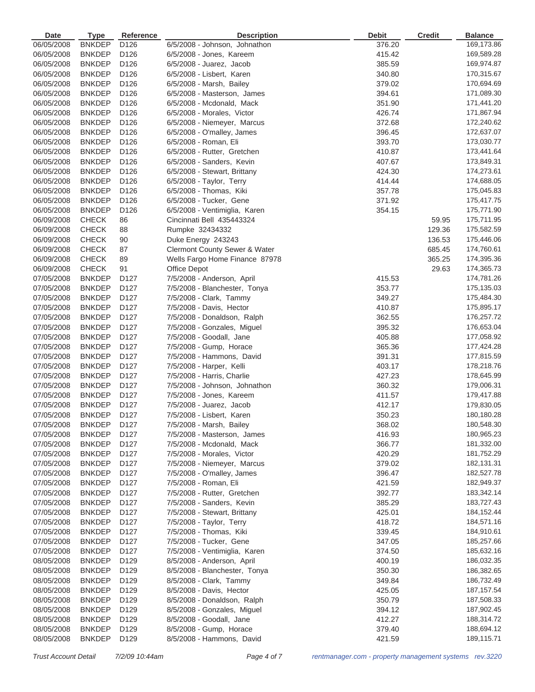| <b>Date</b> | <b>Type</b>   | <b>Reference</b> | <b>Description</b>                       | <b>Debit</b> | <b>Credit</b> | <b>Balance</b> |
|-------------|---------------|------------------|------------------------------------------|--------------|---------------|----------------|
| 06/05/2008  | <b>BNKDEP</b> | D <sub>126</sub> | 6/5/2008 - Johnson, Johnathon            | 376.20       |               | 169,173.86     |
| 06/05/2008  | <b>BNKDEP</b> | D126             | 6/5/2008 - Jones, Kareem                 | 415.42       |               | 169,589.28     |
| 06/05/2008  | <b>BNKDEP</b> | D126             | $6/5/2008$ - Juarez, Jacob               | 385.59       |               | 169,974.87     |
| 06/05/2008  | <b>BNKDEP</b> | D126             | 6/5/2008 - Lisbert, Karen                | 340.80       |               | 170,315.67     |
| 06/05/2008  | <b>BNKDEP</b> | D126             | 6/5/2008 - Marsh, Bailey                 | 379.02       |               | 170,694.69     |
| 06/05/2008  | <b>BNKDEP</b> | D126             | 6/5/2008 - Masterson, James              | 394.61       |               | 171,089.30     |
| 06/05/2008  | <b>BNKDEP</b> | D126             | 6/5/2008 - Mcdonald, Mack                | 351.90       |               | 171,441.20     |
| 06/05/2008  | <b>BNKDEP</b> | D126             | 6/5/2008 - Morales, Victor               | 426.74       |               | 171,867.94     |
| 06/05/2008  | <b>BNKDEP</b> | D126             | 6/5/2008 - Niemeyer, Marcus              | 372.68       |               | 172,240.62     |
| 06/05/2008  | <b>BNKDEP</b> | D126             | 6/5/2008 - O'malley, James               | 396.45       |               | 172,637.07     |
| 06/05/2008  | <b>BNKDEP</b> | D126             | 6/5/2008 - Roman, Eli                    | 393.70       |               | 173,030.77     |
| 06/05/2008  | <b>BNKDEP</b> | D126             | 6/5/2008 - Rutter, Gretchen              | 410.87       |               | 173,441.64     |
| 06/05/2008  | <b>BNKDEP</b> | D126             | 6/5/2008 - Sanders, Kevin                | 407.67       |               | 173,849.31     |
| 06/05/2008  | <b>BNKDEP</b> | D126             | 6/5/2008 - Stewart, Brittany             | 424.30       |               | 174,273.61     |
| 06/05/2008  | <b>BNKDEP</b> | D126             | 6/5/2008 - Taylor, Terry                 | 414.44       |               | 174,688.05     |
| 06/05/2008  | <b>BNKDEP</b> | D126             | 6/5/2008 - Thomas, Kiki                  | 357.78       |               | 175,045.83     |
| 06/05/2008  | <b>BNKDEP</b> | D126             | 6/5/2008 - Tucker, Gene                  | 371.92       |               | 175,417.75     |
| 06/05/2008  | <b>BNKDEP</b> | D126             | 6/5/2008 - Ventimiglia, Karen            | 354.15       |               | 175,771.90     |
| 06/09/2008  | <b>CHECK</b>  | 86               | Cincinnati Bell 435443324                |              | 59.95         | 175,711.95     |
| 06/09/2008  | <b>CHECK</b>  | 88               | Rumpke 32434332                          |              | 129.36        | 175,582.59     |
| 06/09/2008  | <b>CHECK</b>  | 90               | Duke Energy 243243                       |              | 136.53        | 175,446.06     |
| 06/09/2008  | <b>CHECK</b>  | 87               | <b>Clermont County Sewer &amp; Water</b> |              | 685.45        | 174,760.61     |
| 06/09/2008  | <b>CHECK</b>  | 89               | Wells Fargo Home Finance 87978           |              | 365.25        | 174,395.36     |
| 06/09/2008  | <b>CHECK</b>  | 91               | <b>Office Depot</b>                      |              | 29.63         | 174,365.73     |
| 07/05/2008  | <b>BNKDEP</b> | D127             | 7/5/2008 - Anderson, April               | 415.53       |               | 174,781.26     |
| 07/05/2008  | <b>BNKDEP</b> | D127             | 7/5/2008 - Blanchester, Tonya            | 353.77       |               | 175,135.03     |
| 07/05/2008  | <b>BNKDEP</b> | D127             | 7/5/2008 - Clark, Tammy                  | 349.27       |               | 175,484.30     |
| 07/05/2008  | <b>BNKDEP</b> | D127             | 7/5/2008 - Davis, Hector                 | 410.87       |               | 175,895.17     |
| 07/05/2008  | <b>BNKDEP</b> | D <sub>127</sub> | 7/5/2008 - Donaldson, Ralph              | 362.55       |               | 176,257.72     |
| 07/05/2008  | <b>BNKDEP</b> | D127             | 7/5/2008 - Gonzales, Miguel              | 395.32       |               | 176,653.04     |
| 07/05/2008  | <b>BNKDEP</b> | D127             | 7/5/2008 - Goodall, Jane                 | 405.88       |               | 177,058.92     |
| 07/05/2008  | <b>BNKDEP</b> | D127             | 7/5/2008 - Gump, Horace                  | 365.36       |               | 177,424.28     |
| 07/05/2008  | <b>BNKDEP</b> | D127             | 7/5/2008 - Hammons, David                | 391.31       |               | 177,815.59     |
| 07/05/2008  | <b>BNKDEP</b> | D127             | 7/5/2008 - Harper, Kelli                 | 403.17       |               | 178,218.76     |
| 07/05/2008  | <b>BNKDEP</b> | D <sub>127</sub> | 7/5/2008 - Harris, Charlie               | 427.23       |               | 178,645.99     |
| 07/05/2008  | <b>BNKDEP</b> | D <sub>127</sub> | 7/5/2008 - Johnson, Johnathon            | 360.32       |               | 179,006.31     |
| 07/05/2008  | <b>BNKDEP</b> | D127             | 7/5/2008 - Jones, Kareem                 | 411.57       |               | 179,417.88     |
| 07/05/2008  | <b>BNKDEP</b> | D <sub>127</sub> | 7/5/2008 - Juarez, Jacob                 | 412.17       |               | 179,830.05     |
| 07/05/2008  | <b>BNKDEP</b> | D <sub>127</sub> | 7/5/2008 - Lisbert, Karen                | 350.23       |               | 180,180.28     |
| 07/05/2008  | BNKDEP        | D127             | 7/5/2008 - Marsh, Bailey                 | 368.02       |               | 180,548.30     |
| 07/05/2008  | <b>BNKDEP</b> | D <sub>127</sub> | 7/5/2008 - Masterson, James              | 416.93       |               | 180,965.23     |
| 07/05/2008  | <b>BNKDEP</b> | D127             | 7/5/2008 - Mcdonald, Mack                | 366.77       |               | 181,332.00     |
| 07/05/2008  | <b>BNKDEP</b> | D127             | 7/5/2008 - Morales, Victor               | 420.29       |               | 181,752.29     |
| 07/05/2008  | <b>BNKDEP</b> | D <sub>127</sub> | 7/5/2008 - Niemeyer, Marcus              | 379.02       |               | 182,131.31     |
| 07/05/2008  | <b>BNKDEP</b> | D <sub>127</sub> | 7/5/2008 - O'malley, James               | 396.47       |               | 182,527.78     |
| 07/05/2008  | <b>BNKDEP</b> | D127             | 7/5/2008 - Roman, Eli                    | 421.59       |               | 182,949.37     |
| 07/05/2008  | <b>BNKDEP</b> | D <sub>127</sub> | 7/5/2008 - Rutter, Gretchen              | 392.77       |               | 183,342.14     |
| 07/05/2008  | <b>BNKDEP</b> | D127             | 7/5/2008 - Sanders, Kevin                | 385.29       |               | 183,727.43     |
| 07/05/2008  | <b>BNKDEP</b> | D127             | 7/5/2008 - Stewart, Brittany             | 425.01       |               | 184,152.44     |
| 07/05/2008  | <b>BNKDEP</b> | D <sub>127</sub> | 7/5/2008 - Taylor, Terry                 | 418.72       |               | 184,571.16     |
| 07/05/2008  | <b>BNKDEP</b> | D <sub>127</sub> | 7/5/2008 - Thomas, Kiki                  | 339.45       |               | 184,910.61     |
| 07/05/2008  | <b>BNKDEP</b> | D127             | 7/5/2008 - Tucker, Gene                  | 347.05       |               | 185,257.66     |
| 07/05/2008  | <b>BNKDEP</b> | D127             | 7/5/2008 - Ventimiglia, Karen            | 374.50       |               | 185,632.16     |
| 08/05/2008  | <b>BNKDEP</b> | D <sub>129</sub> | 8/5/2008 - Anderson, April               | 400.19       |               | 186,032.35     |
| 08/05/2008  | <b>BNKDEP</b> | D129             | 8/5/2008 - Blanchester, Tonya            | 350.30       |               | 186,382.65     |
| 08/05/2008  | <b>BNKDEP</b> | D <sub>129</sub> | 8/5/2008 - Clark, Tammy                  | 349.84       |               | 186,732.49     |
| 08/05/2008  | <b>BNKDEP</b> | D <sub>129</sub> | 8/5/2008 - Davis, Hector                 | 425.05       |               | 187, 157.54    |
| 08/05/2008  | <b>BNKDEP</b> | D <sub>129</sub> | 8/5/2008 - Donaldson, Ralph              | 350.79       |               | 187,508.33     |
| 08/05/2008  | <b>BNKDEP</b> | D <sub>129</sub> | 8/5/2008 - Gonzales, Miguel              | 394.12       |               | 187,902.45     |
| 08/05/2008  | <b>BNKDEP</b> | D129             | 8/5/2008 - Goodall, Jane                 | 412.27       |               | 188,314.72     |
| 08/05/2008  | <b>BNKDEP</b> | D <sub>129</sub> | 8/5/2008 - Gump, Horace                  | 379.40       |               | 188,694.12     |
| 08/05/2008  | <b>BNKDEP</b> | D <sub>129</sub> | 8/5/2008 - Hammons, David                | 421.59       |               | 189,115.71     |
|             |               |                  |                                          |              |               |                |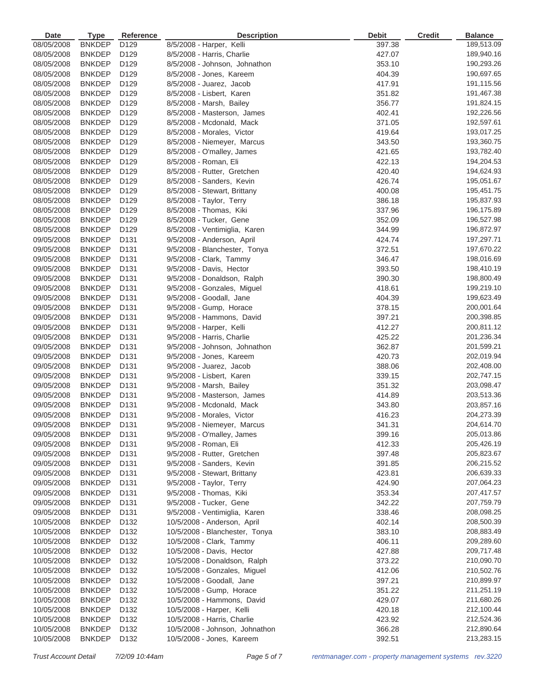| <b>Date</b> | <b>Type</b>   | Reference                            | <b>Description</b>             | <b>Debit</b> | <b>Credit</b> | <b>Balance</b> |
|-------------|---------------|--------------------------------------|--------------------------------|--------------|---------------|----------------|
| 08/05/2008  | <b>BNKDEP</b> | D <sub>129</sub>                     | 8/5/2008 - Harper, Kelli       | 397.38       |               | 189,513.09     |
| 08/05/2008  | <b>BNKDEP</b> | D129                                 | 8/5/2008 - Harris, Charlie     | 427.07       |               | 189,940.16     |
| 08/05/2008  | <b>BNKDEP</b> | D129                                 | 8/5/2008 - Johnson, Johnathon  | 353.10       |               | 190,293.26     |
| 08/05/2008  | <b>BNKDEP</b> | D129                                 | 8/5/2008 - Jones, Kareem       | 404.39       |               | 190,697.65     |
| 08/05/2008  | <b>BNKDEP</b> | D129                                 | 8/5/2008 - Juarez, Jacob       | 417.91       |               | 191,115.56     |
| 08/05/2008  | <b>BNKDEP</b> | D129                                 | 8/5/2008 - Lisbert, Karen      | 351.82       |               | 191,467.38     |
| 08/05/2008  | <b>BNKDEP</b> | D129                                 | 8/5/2008 - Marsh, Bailey       | 356.77       |               | 191,824.15     |
| 08/05/2008  | <b>BNKDEP</b> | D129                                 | 8/5/2008 - Masterson, James    | 402.41       |               | 192,226.56     |
| 08/05/2008  | <b>BNKDEP</b> | D129                                 | 8/5/2008 - Mcdonald, Mack      | 371.05       |               | 192,597.61     |
| 08/05/2008  | <b>BNKDEP</b> | D129                                 | 8/5/2008 - Morales, Victor     | 419.64       |               | 193,017.25     |
| 08/05/2008  | <b>BNKDEP</b> | D129                                 | 8/5/2008 - Niemeyer, Marcus    | 343.50       |               | 193,360.75     |
| 08/05/2008  | <b>BNKDEP</b> | D129                                 | 8/5/2008 - O'malley, James     | 421.65       |               | 193,782.40     |
| 08/05/2008  | <b>BNKDEP</b> | D129                                 | 8/5/2008 - Roman, Eli          | 422.13       |               | 194,204.53     |
| 08/05/2008  | <b>BNKDEP</b> | D129                                 | 8/5/2008 - Rutter, Gretchen    | 420.40       |               | 194,624.93     |
| 08/05/2008  | <b>BNKDEP</b> | D129                                 | 8/5/2008 - Sanders, Kevin      | 426.74       |               | 195,051.67     |
| 08/05/2008  | <b>BNKDEP</b> | D129                                 | 8/5/2008 - Stewart, Brittany   | 400.08       |               | 195,451.75     |
| 08/05/2008  | <b>BNKDEP</b> | D129                                 | 8/5/2008 - Taylor, Terry       | 386.18       |               | 195,837.93     |
| 08/05/2008  | <b>BNKDEP</b> | D129                                 | 8/5/2008 - Thomas, Kiki        | 337.96       |               | 196,175.89     |
| 08/05/2008  | <b>BNKDEP</b> | D129                                 | 8/5/2008 - Tucker, Gene        | 352.09       |               | 196,527.98     |
| 08/05/2008  | <b>BNKDEP</b> | D129                                 | 8/5/2008 - Ventimiglia, Karen  | 344.99       |               | 196,872.97     |
|             |               |                                      |                                |              |               |                |
| 09/05/2008  | <b>BNKDEP</b> | D <sub>131</sub><br>D <sub>131</sub> | 9/5/2008 - Anderson, April     | 424.74       |               | 197,297.71     |
| 09/05/2008  | <b>BNKDEP</b> |                                      | 9/5/2008 - Blanchester, Tonya  | 372.51       |               | 197,670.22     |
| 09/05/2008  | <b>BNKDEP</b> | D131                                 | 9/5/2008 - Clark, Tammy        | 346.47       |               | 198,016.69     |
| 09/05/2008  | <b>BNKDEP</b> | D131                                 | 9/5/2008 - Davis, Hector       | 393.50       |               | 198,410.19     |
| 09/05/2008  | <b>BNKDEP</b> | D <sub>131</sub>                     | 9/5/2008 - Donaldson, Ralph    | 390.30       |               | 198,800.49     |
| 09/05/2008  | <b>BNKDEP</b> | D131                                 | 9/5/2008 - Gonzales, Miguel    | 418.61       |               | 199,219.10     |
| 09/05/2008  | <b>BNKDEP</b> | D131                                 | 9/5/2008 - Goodall, Jane       | 404.39       |               | 199,623.49     |
| 09/05/2008  | <b>BNKDEP</b> | D131                                 | 9/5/2008 - Gump, Horace        | 378.15       |               | 200,001.64     |
| 09/05/2008  | <b>BNKDEP</b> | D <sub>131</sub>                     | 9/5/2008 - Hammons, David      | 397.21       |               | 200,398.85     |
| 09/05/2008  | <b>BNKDEP</b> | D131                                 | 9/5/2008 - Harper, Kelli       | 412.27       |               | 200,811.12     |
| 09/05/2008  | <b>BNKDEP</b> | D131                                 | 9/5/2008 - Harris, Charlie     | 425.22       |               | 201,236.34     |
| 09/05/2008  | <b>BNKDEP</b> | D <sub>131</sub>                     | 9/5/2008 - Johnson, Johnathon  | 362.87       |               | 201,599.21     |
| 09/05/2008  | <b>BNKDEP</b> | D131                                 | 9/5/2008 - Jones, Kareem       | 420.73       |               | 202,019.94     |
| 09/05/2008  | <b>BNKDEP</b> | D <sub>131</sub>                     | $9/5/2008$ - Juarez, Jacob     | 388.06       |               | 202,408.00     |
| 09/05/2008  | <b>BNKDEP</b> | D <sub>131</sub>                     | 9/5/2008 - Lisbert, Karen      | 339.15       |               | 202,747.15     |
| 09/05/2008  | <b>BNKDEP</b> | D <sub>131</sub>                     | 9/5/2008 - Marsh, Bailey       | 351.32       |               | 203,098.47     |
| 09/05/2008  | <b>BNKDEP</b> | D <sub>131</sub>                     | 9/5/2008 - Masterson, James    | 414.89       |               | 203,513.36     |
| 09/05/2008  | <b>BNKDEP</b> | D131                                 | 9/5/2008 - Mcdonald, Mack      | 343.80       |               | 203,857.16     |
| 09/05/2008  | BNKDEP        | D <sub>131</sub>                     | 9/5/2008 - Morales, Victor     | 416.23       |               | 204,273.39     |
| 09/05/2008  | <b>BNKDEP</b> | D131                                 | 9/5/2008 - Niemeyer, Marcus    | 341.31       |               | 204,614.70     |
| 09/05/2008  | <b>BNKDEP</b> | D <sub>131</sub>                     | 9/5/2008 - O'malley, James     | 399.16       |               | 205,013.86     |
| 09/05/2008  | <b>BNKDEP</b> | D131                                 | 9/5/2008 - Roman, Eli          | 412.33       |               | 205,426.19     |
| 09/05/2008  | <b>BNKDEP</b> | D <sub>131</sub>                     | 9/5/2008 - Rutter, Gretchen    | 397.48       |               | 205,823.67     |
| 09/05/2008  | <b>BNKDEP</b> | D <sub>131</sub>                     | 9/5/2008 - Sanders, Kevin      | 391.85       |               | 206,215.52     |
| 09/05/2008  | <b>BNKDEP</b> | D <sub>131</sub>                     | 9/5/2008 - Stewart, Brittany   | 423.81       |               | 206,639.33     |
| 09/05/2008  | <b>BNKDEP</b> | D131                                 | 9/5/2008 - Taylor, Terry       | 424.90       |               | 207,064.23     |
| 09/05/2008  | <b>BNKDEP</b> | D <sub>131</sub>                     | 9/5/2008 - Thomas, Kiki        | 353.34       |               | 207,417.57     |
| 09/05/2008  | <b>BNKDEP</b> | D <sub>131</sub>                     | 9/5/2008 - Tucker, Gene        | 342.22       |               | 207,759.79     |
| 09/05/2008  | <b>BNKDEP</b> | D131                                 | 9/5/2008 - Ventimiglia, Karen  | 338.46       |               | 208,098.25     |
| 10/05/2008  | <b>BNKDEP</b> | D <sub>132</sub>                     | 10/5/2008 - Anderson, April    | 402.14       |               | 208,500.39     |
| 10/05/2008  | <b>BNKDEP</b> | D <sub>132</sub>                     | 10/5/2008 - Blanchester, Tonya | 383.10       |               | 208,883.49     |
| 10/05/2008  | <b>BNKDEP</b> | D <sub>132</sub>                     | 10/5/2008 - Clark, Tammy       | 406.11       |               | 209,289.60     |
| 10/05/2008  | <b>BNKDEP</b> | D132                                 | 10/5/2008 - Davis, Hector      | 427.88       |               | 209,717.48     |
| 10/05/2008  | <b>BNKDEP</b> | D132                                 | 10/5/2008 - Donaldson, Ralph   | 373.22       |               | 210,090.70     |
| 10/05/2008  | <b>BNKDEP</b> | D <sub>132</sub>                     | 10/5/2008 - Gonzales, Miguel   | 412.06       |               | 210,502.76     |
| 10/05/2008  | <b>BNKDEP</b> | D <sub>132</sub>                     | 10/5/2008 - Goodall, Jane      | 397.21       |               | 210,899.97     |
| 10/05/2008  | <b>BNKDEP</b> | D <sub>132</sub>                     | 10/5/2008 - Gump, Horace       | 351.22       |               | 211,251.19     |
| 10/05/2008  | <b>BNKDEP</b> | D <sub>132</sub>                     | 10/5/2008 - Hammons, David     | 429.07       |               | 211,680.26     |
| 10/05/2008  | <b>BNKDEP</b> | D <sub>132</sub>                     | 10/5/2008 - Harper, Kelli      | 420.18       |               | 212,100.44     |
| 10/05/2008  | <b>BNKDEP</b> | D <sub>132</sub>                     | 10/5/2008 - Harris, Charlie    | 423.92       |               | 212,524.36     |
| 10/05/2008  | <b>BNKDEP</b> | D <sub>132</sub>                     | 10/5/2008 - Johnson, Johnathon | 366.28       |               | 212,890.64     |
| 10/05/2008  | <b>BNKDEP</b> | D <sub>132</sub>                     | 10/5/2008 - Jones, Kareem      | 392.51       |               | 213,283.15     |
|             |               |                                      |                                |              |               |                |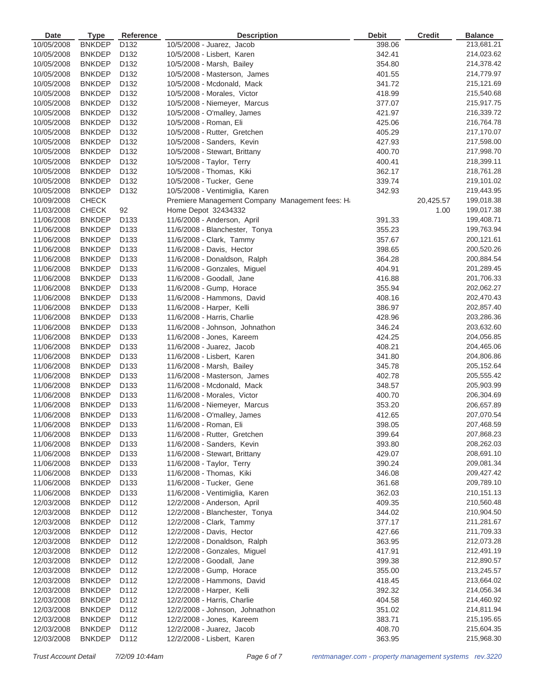| <b>Date</b> | <b>Type</b>   | Reference        | <b>Description</b>                                          | <b>Debit</b> | <b>Credit</b> | <b>Balance</b> |
|-------------|---------------|------------------|-------------------------------------------------------------|--------------|---------------|----------------|
| 10/05/2008  | <b>BNKDEP</b> | D <sub>132</sub> | 10/5/2008 - Juarez, Jacob                                   | 398.06       |               | 213,681.21     |
| 10/05/2008  | <b>BNKDEP</b> | D132             | 10/5/2008 - Lisbert, Karen                                  | 342.41       |               | 214,023.62     |
| 10/05/2008  | <b>BNKDEP</b> | D132             | 10/5/2008 - Marsh, Bailey                                   | 354.80       |               | 214,378.42     |
| 10/05/2008  | <b>BNKDEP</b> | D132             | 10/5/2008 - Masterson, James                                | 401.55       |               | 214,779.97     |
| 10/05/2008  | <b>BNKDEP</b> | D132             | 10/5/2008 - Mcdonald, Mack                                  | 341.72       |               | 215,121.69     |
| 10/05/2008  | <b>BNKDEP</b> | D132             | 10/5/2008 - Morales, Victor                                 | 418.99       |               | 215,540.68     |
| 10/05/2008  | <b>BNKDEP</b> | D132             | 10/5/2008 - Niemeyer, Marcus                                | 377.07       |               | 215,917.75     |
| 10/05/2008  | <b>BNKDEP</b> | D <sub>132</sub> | 10/5/2008 - O'malley, James                                 | 421.97       |               | 216,339.72     |
| 10/05/2008  | <b>BNKDEP</b> | D132             | 10/5/2008 - Roman, Eli                                      | 425.06       |               | 216,764.78     |
| 10/05/2008  | <b>BNKDEP</b> | D <sub>132</sub> | 10/5/2008 - Rutter, Gretchen                                | 405.29       |               | 217,170.07     |
| 10/05/2008  | <b>BNKDEP</b> | D132             | 10/5/2008 - Sanders, Kevin                                  | 427.93       |               | 217,598.00     |
| 10/05/2008  | <b>BNKDEP</b> | D132             | 10/5/2008 - Stewart, Brittany                               | 400.70       |               | 217,998.70     |
| 10/05/2008  | <b>BNKDEP</b> | D132             | 10/5/2008 - Taylor, Terry                                   | 400.41       |               | 218,399.11     |
| 10/05/2008  | <b>BNKDEP</b> | D132             | 10/5/2008 - Thomas, Kiki                                    | 362.17       |               | 218,761.28     |
| 10/05/2008  | <b>BNKDEP</b> | D <sub>132</sub> | 10/5/2008 - Tucker, Gene                                    | 339.74       |               | 219,101.02     |
| 10/05/2008  | <b>BNKDEP</b> | D <sub>132</sub> | 10/5/2008 - Ventimiglia, Karen                              | 342.93       |               | 219,443.95     |
| 10/09/2008  | <b>CHECK</b>  |                  | Premiere Management Company Management fees: Ha             |              | 20,425.57     | 199,018.38     |
| 11/03/2008  | <b>CHECK</b>  | 92               | Home Depot 32434332                                         |              | 1.00          | 199,017.38     |
| 11/06/2008  | <b>BNKDEP</b> | D133             | 11/6/2008 - Anderson, April                                 | 391.33       |               | 199,408.71     |
| 11/06/2008  | <b>BNKDEP</b> | D133             | 11/6/2008 - Blanchester, Tonya                              | 355.23       |               | 199,763.94     |
| 11/06/2008  | <b>BNKDEP</b> | D133             | 11/6/2008 - Clark, Tammy                                    | 357.67       |               | 200,121.61     |
| 11/06/2008  | <b>BNKDEP</b> | D133             | 11/6/2008 - Davis, Hector                                   | 398.65       |               | 200,520.26     |
| 11/06/2008  | <b>BNKDEP</b> | D <sub>133</sub> | 11/6/2008 - Donaldson, Ralph                                | 364.28       |               | 200,884.54     |
| 11/06/2008  | <b>BNKDEP</b> | D133             | 11/6/2008 - Gonzales, Miguel                                | 404.91       |               | 201,289.45     |
| 11/06/2008  | <b>BNKDEP</b> | D133             | 11/6/2008 - Goodall, Jane                                   | 416.88       |               | 201,706.33     |
| 11/06/2008  | <b>BNKDEP</b> | D133             | 11/6/2008 - Gump, Horace                                    | 355.94       |               | 202,062.27     |
| 11/06/2008  | <b>BNKDEP</b> | D133             | 11/6/2008 - Hammons, David                                  | 408.16       |               | 202,470.43     |
| 11/06/2008  | <b>BNKDEP</b> | D133             | 11/6/2008 - Harper, Kelli                                   | 386.97       |               | 202,857.40     |
| 11/06/2008  | <b>BNKDEP</b> | D133             | 11/6/2008 - Harris, Charlie                                 | 428.96       |               | 203,286.36     |
| 11/06/2008  | <b>BNKDEP</b> | D133             | 11/6/2008 - Johnson, Johnathon                              | 346.24       |               | 203,632.60     |
| 11/06/2008  | <b>BNKDEP</b> | D <sub>133</sub> | 11/6/2008 - Jones, Kareem                                   | 424.25       |               | 204,056.85     |
| 11/06/2008  | <b>BNKDEP</b> | D133             | 11/6/2008 - Juarez, Jacob                                   | 408.21       |               | 204,465.06     |
| 11/06/2008  | <b>BNKDEP</b> | D133             | 11/6/2008 - Lisbert, Karen                                  | 341.80       |               | 204,806.86     |
| 11/06/2008  | <b>BNKDEP</b> | D133             | 11/6/2008 - Marsh, Bailey                                   | 345.78       |               | 205, 152.64    |
| 11/06/2008  | <b>BNKDEP</b> | D133             | 11/6/2008 - Masterson, James                                | 402.78       |               | 205,555.42     |
| 11/06/2008  | <b>BNKDEP</b> | D <sub>133</sub> | 11/6/2008 - Mcdonald, Mack                                  | 348.57       |               | 205,903.99     |
| 11/06/2008  | <b>BNKDEP</b> | D133             | 11/6/2008 - Morales, Victor                                 | 400.70       |               | 206,304.69     |
| 11/06/2008  | <b>BNKDEP</b> | D <sub>133</sub> | 11/6/2008 - Niemeyer, Marcus                                | 353.20       |               | 206,657.89     |
| 11/06/2008  | <b>BNKDEP</b> | D <sub>133</sub> | 11/6/2008 - O'malley, James                                 | 412.65       |               | 207,070.54     |
| 11/06/2008  | <b>BNKDEP</b> | D <sub>133</sub> | 11/6/2008 - Roman, Eli                                      | 398.05       |               | 207,468.59     |
| 11/06/2008  | <b>BNKDEP</b> | D <sub>133</sub> | 11/6/2008 - Rutter, Gretchen                                | 399.64       |               | 207,868.23     |
| 11/06/2008  | <b>BNKDEP</b> | D133             | 11/6/2008 - Sanders, Kevin                                  | 393.80       |               | 208,262.03     |
| 11/06/2008  | <b>BNKDEP</b> | D <sub>133</sub> | 11/6/2008 - Stewart, Brittany                               | 429.07       |               | 208,691.10     |
| 11/06/2008  | <b>BNKDEP</b> | D <sub>133</sub> | 11/6/2008 - Taylor, Terry                                   | 390.24       |               | 209,081.34     |
| 11/06/2008  | <b>BNKDEP</b> | D <sub>133</sub> | 11/6/2008 - Thomas, Kiki                                    | 346.08       |               | 209,427.42     |
| 11/06/2008  | <b>BNKDEP</b> | D133             | 11/6/2008 - Tucker, Gene                                    | 361.68       |               | 209,789.10     |
| 11/06/2008  | <b>BNKDEP</b> | D <sub>133</sub> | 11/6/2008 - Ventimiglia, Karen                              | 362.03       |               | 210,151.13     |
| 12/03/2008  | <b>BNKDEP</b> | D112             | 12/2/2008 - Anderson, April                                 | 409.35       |               | 210,560.48     |
| 12/03/2008  | <b>BNKDEP</b> | D112             | 12/2/2008 - Blanchester, Tonya                              | 344.02       |               | 210,904.50     |
| 12/03/2008  | <b>BNKDEP</b> | D112             | 12/2/2008 - Clark, Tammy                                    | 377.17       |               | 211,281.67     |
| 12/03/2008  | <b>BNKDEP</b> | D112             | 12/2/2008 - Davis, Hector                                   | 427.66       |               | 211,709.33     |
| 12/03/2008  | <b>BNKDEP</b> | D112             | 12/2/2008 - Donaldson, Ralph                                | 363.95       |               | 212,073.28     |
| 12/03/2008  | <b>BNKDEP</b> | D112             | 12/2/2008 - Gonzales, Miguel                                | 417.91       |               | 212,491.19     |
| 12/03/2008  | <b>BNKDEP</b> | D112             | 12/2/2008 - Goodall, Jane                                   | 399.38       |               | 212,890.57     |
| 12/03/2008  | <b>BNKDEP</b> | D112             | 12/2/2008 - Gump, Horace                                    | 355.00       |               | 213,245.57     |
| 12/03/2008  | <b>BNKDEP</b> | D112             | 12/2/2008 - Hammons, David                                  | 418.45       |               | 213,664.02     |
| 12/03/2008  | <b>BNKDEP</b> | D112             | 12/2/2008 - Harper, Kelli                                   | 392.32       |               | 214,056.34     |
| 12/03/2008  | <b>BNKDEP</b> | D112             | 12/2/2008 - Harris, Charlie                                 | 404.58       |               | 214,460.92     |
| 12/03/2008  | <b>BNKDEP</b> | D112             |                                                             | 351.02       |               | 214,811.94     |
| 12/03/2008  | <b>BNKDEP</b> | D112             | 12/2/2008 - Johnson, Johnathon<br>12/2/2008 - Jones, Kareem | 383.71       |               | 215,195.65     |
|             |               |                  |                                                             |              |               |                |
| 12/03/2008  | <b>BNKDEP</b> | D112             | 12/2/2008 - Juarez, Jacob                                   | 408.70       |               | 215,604.35     |
| 12/03/2008  | <b>BNKDEP</b> | D112             | 12/2/2008 - Lisbert, Karen                                  | 363.95       |               | 215,968.30     |